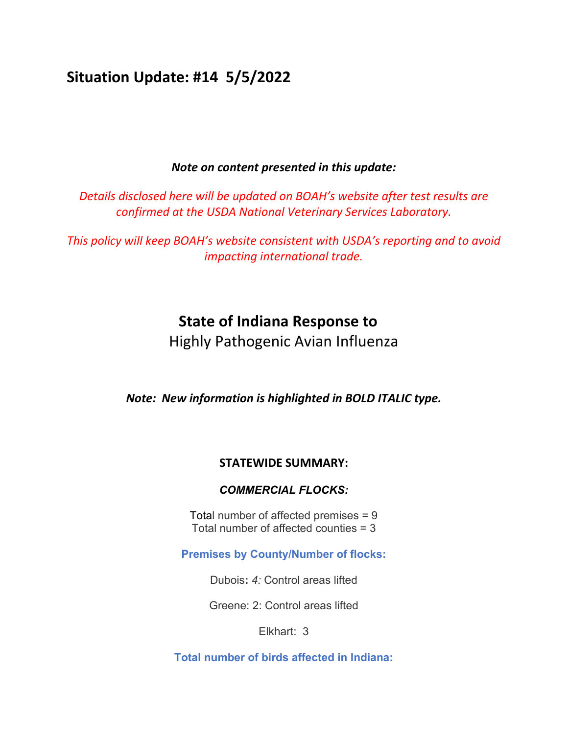# **Situation Update: #14 5/5/2022**

### *Note on content presented in this update:*

*Details disclosed here will be updated on BOAH's website after test results are confirmed at the USDA National Veterinary Services Laboratory.*

*This policy will keep BOAH's website consistent with USDA's reporting and to avoid impacting international trade.* 

## **State of Indiana Response to**

Highly Pathogenic Avian Influenza

*Note: New information is highlighted in BOLD ITALIC type.*

#### **STATEWIDE SUMMARY:**

#### *COMMERCIAL FLOCKS:*

Total number of affected premises = 9 Total number of affected counties = 3

**Premises by County/Number of flocks:**

Dubois**:** *4:* Control areas lifted

Greene: 2: Control areas lifted

Elkhart: 3

**Total number of birds affected in Indiana:**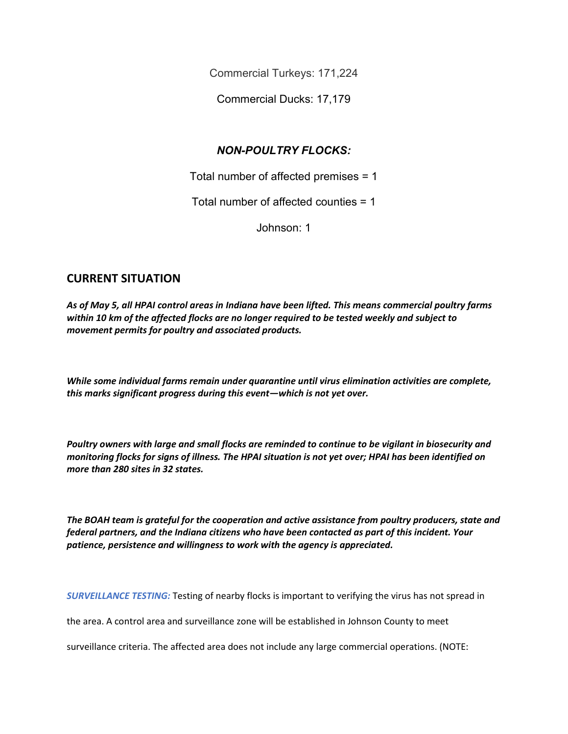Commercial Turkeys: 171,224

Commercial Ducks: 17,179

## *NON-POULTRY FLOCKS:*

Total number of affected premises = 1

Total number of affected counties = 1

Johnson: 1

### **CURRENT SITUATION**

*As of May 5, all HPAI control areas in Indiana have been lifted. This means commercial poultry farms within 10 km of the affected flocks are no longer required to be tested weekly and subject to movement permits for poultry and associated products.* 

*While some individual farms remain under quarantine until virus elimination activities are complete, this marks significant progress during this event—which is not yet over.*

*Poultry owners with large and small flocks are reminded to continue to be vigilant in biosecurity and monitoring flocks for signs of illness. The HPAI situation is not yet over; HPAI has been identified on more than 280 sites in 32 states.*

*The BOAH team is grateful for the cooperation and active assistance from poultry producers, state and federal partners, and the Indiana citizens who have been contacted as part of this incident. Your patience, persistence and willingness to work with the agency is appreciated.*

*SURVEILLANCE TESTING:* Testing of nearby flocks is important to verifying the virus has not spread in

the area. A control area and surveillance zone will be established in Johnson County to meet

surveillance criteria. The affected area does not include any large commercial operations. (NOTE: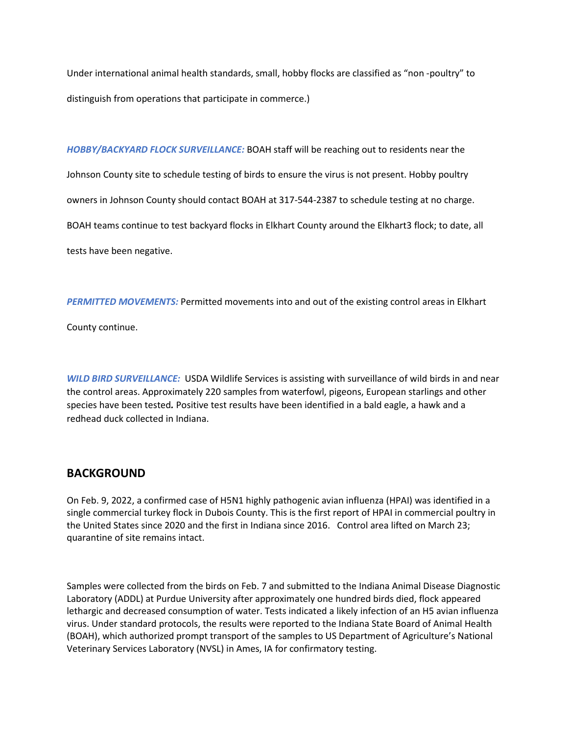Under international animal health standards, small, hobby flocks are classified as "non -poultry" to distinguish from operations that participate in commerce.)

*HOBBY/BACKYARD FLOCK SURVEILLANCE:* BOAH staff will be reaching out to residents near the Johnson County site to schedule testing of birds to ensure the virus is not present. Hobby poultry owners in Johnson County should contact BOAH at 317-544-2387 to schedule testing at no charge. BOAH teams continue to test backyard flocks in Elkhart County around the Elkhart3 flock; to date, all tests have been negative.

*PERMITTED MOVEMENTS:* Permitted movements into and out of the existing control areas in Elkhart

County continue.

*WILD BIRD SURVEILLANCE:* USDA Wildlife Services is assisting with surveillance of wild birds in and near the control areas. Approximately 220 samples from waterfowl, pigeons, European starlings and other species have been tested*.* Positive test results have been identified in a bald eagle, a hawk and a redhead duck collected in Indiana.

#### **BACKGROUND**

On Feb. 9, 2022, a confirmed case of H5N1 highly pathogenic avian influenza (HPAI) was identified in a single commercial turkey flock in Dubois County. This is the first report of HPAI in commercial poultry in the United States since 2020 and the first in Indiana since 2016. Control area lifted on March 23; quarantine of site remains intact.

Samples were collected from the birds on Feb. 7 and submitted to the Indiana Animal Disease Diagnostic Laboratory (ADDL) at Purdue University after approximately one hundred birds died, flock appeared lethargic and decreased consumption of water. Tests indicated a likely infection of an H5 avian influenza virus. Under standard protocols, the results were reported to the Indiana State Board of Animal Health (BOAH), which authorized prompt transport of the samples to US Department of Agriculture's National Veterinary Services Laboratory (NVSL) in Ames, IA for confirmatory testing.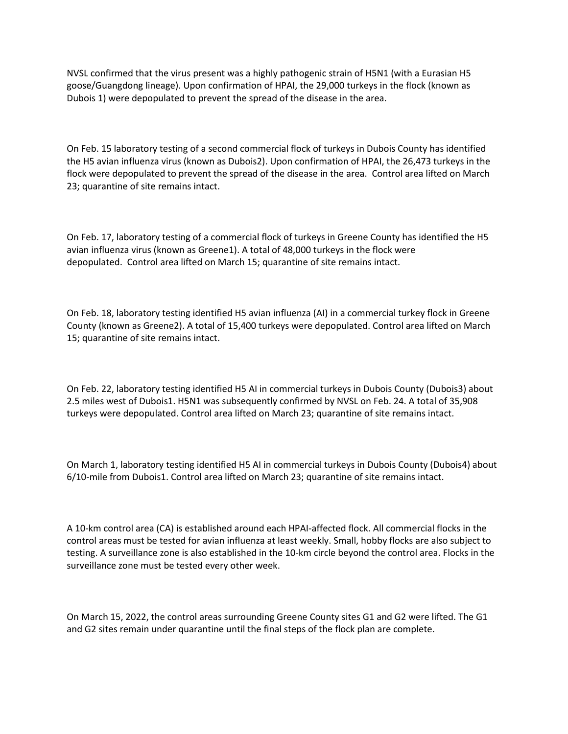NVSL confirmed that the virus present was a highly pathogenic strain of H5N1 (with a Eurasian H5 goose/Guangdong lineage). Upon confirmation of HPAI, the 29,000 turkeys in the flock (known as Dubois 1) were depopulated to prevent the spread of the disease in the area.

On Feb. 15 laboratory testing of a second commercial flock of turkeys in Dubois County has identified the H5 avian influenza virus (known as Dubois2). Upon confirmation of HPAI, the 26,473 turkeys in the flock were depopulated to prevent the spread of the disease in the area. Control area lifted on March 23; quarantine of site remains intact.

On Feb. 17, laboratory testing of a commercial flock of turkeys in Greene County has identified the H5 avian influenza virus (known as Greene1). A total of 48,000 turkeys in the flock were depopulated. Control area lifted on March 15; quarantine of site remains intact.

On Feb. 18, laboratory testing identified H5 avian influenza (AI) in a commercial turkey flock in Greene County (known as Greene2). A total of 15,400 turkeys were depopulated. Control area lifted on March 15; quarantine of site remains intact.

On Feb. 22, laboratory testing identified H5 AI in commercial turkeys in Dubois County (Dubois3) about 2.5 miles west of Dubois1. H5N1 was subsequently confirmed by NVSL on Feb. 24. A total of 35,908 turkeys were depopulated. Control area lifted on March 23; quarantine of site remains intact.

On March 1, laboratory testing identified H5 AI in commercial turkeys in Dubois County (Dubois4) about 6/10-mile from Dubois1. Control area lifted on March 23; quarantine of site remains intact.

A 10-km control area (CA) is established around each HPAI-affected flock. All commercial flocks in the control areas must be tested for avian influenza at least weekly. Small, hobby flocks are also subject to testing. A surveillance zone is also established in the 10-km circle beyond the control area. Flocks in the surveillance zone must be tested every other week.

On March 15, 2022, the control areas surrounding Greene County sites G1 and G2 were lifted. The G1 and G2 sites remain under quarantine until the final steps of the flock plan are complete.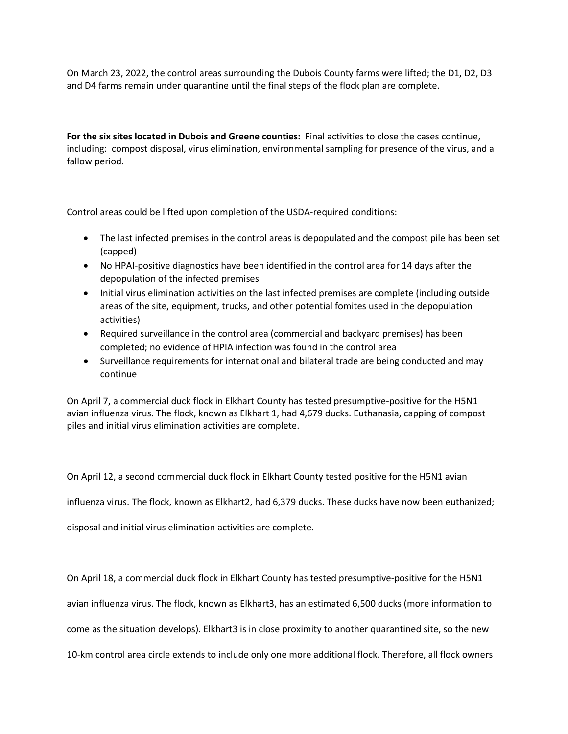On March 23, 2022, the control areas surrounding the Dubois County farms were lifted; the D1, D2, D3 and D4 farms remain under quarantine until the final steps of the flock plan are complete.

**For the six sites located in Dubois and Greene counties:** Final activities to close the cases continue, including: compost disposal, virus elimination, environmental sampling for presence of the virus, and a fallow period.

Control areas could be lifted upon completion of the USDA-required conditions:

- The last infected premises in the control areas is depopulated and the compost pile has been set (capped)
- No HPAI-positive diagnostics have been identified in the control area for 14 days after the depopulation of the infected premises
- Initial virus elimination activities on the last infected premises are complete (including outside areas of the site, equipment, trucks, and other potential fomites used in the depopulation activities)
- Required surveillance in the control area (commercial and backyard premises) has been completed; no evidence of HPIA infection was found in the control area
- Surveillance requirements for international and bilateral trade are being conducted and may continue

On April 7, a commercial duck flock in Elkhart County has tested presumptive-positive for the H5N1 avian influenza virus. The flock, known as Elkhart 1, had 4,679 ducks. Euthanasia, capping of compost piles and initial virus elimination activities are complete.

On April 12, a second commercial duck flock in Elkhart County tested positive for the H5N1 avian

influenza virus. The flock, known as Elkhart2, had 6,379 ducks. These ducks have now been euthanized;

disposal and initial virus elimination activities are complete.

On April 18, a commercial duck flock in Elkhart County has tested presumptive-positive for the H5N1

avian influenza virus. The flock, known as Elkhart3, has an estimated 6,500 ducks (more information to

come as the situation develops). Elkhart3 is in close proximity to another quarantined site, so the new

10-km control area circle extends to include only one more additional flock. Therefore, all flock owners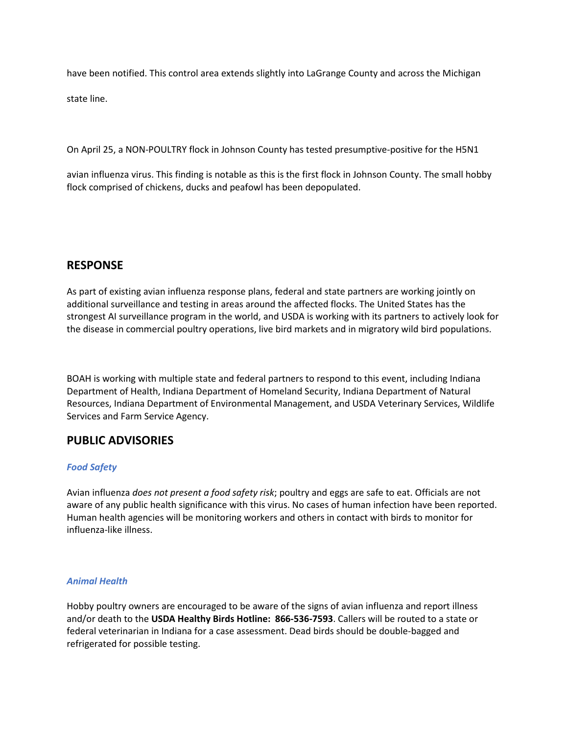have been notified. This control area extends slightly into LaGrange County and across the Michigan

state line.

On April 25, a NON-POULTRY flock in Johnson County has tested presumptive-positive for the H5N1

avian influenza virus. This finding is notable as this is the first flock in Johnson County. The small hobby flock comprised of chickens, ducks and peafowl has been depopulated.

#### **RESPONSE**

As part of existing avian influenza response plans, federal and state partners are working jointly on additional surveillance and testing in areas around the affected flocks. The United States has the strongest AI surveillance program in the world, and USDA is working with its partners to actively look for the disease in commercial poultry operations, live bird markets and in migratory wild bird populations.

BOAH is working with multiple state and federal partners to respond to this event, including Indiana Department of Health, Indiana Department of Homeland Security, Indiana Department of Natural Resources, Indiana Department of Environmental Management, and USDA Veterinary Services, Wildlife Services and Farm Service Agency.

#### **PUBLIC ADVISORIES**

#### *Food Safety*

Avian influenza *does not present a food safety risk*; poultry and eggs are safe to eat. Officials are not aware of any public health significance with this virus. No cases of human infection have been reported. Human health agencies will be monitoring workers and others in contact with birds to monitor for influenza-like illness.

#### *Animal Health*

Hobby poultry owners are encouraged to be aware of the signs of avian influenza and report illness and/or death to the **USDA Healthy Birds Hotline: 866-536-7593**. Callers will be routed to a state or federal veterinarian in Indiana for a case assessment. Dead birds should be double-bagged and refrigerated for possible testing.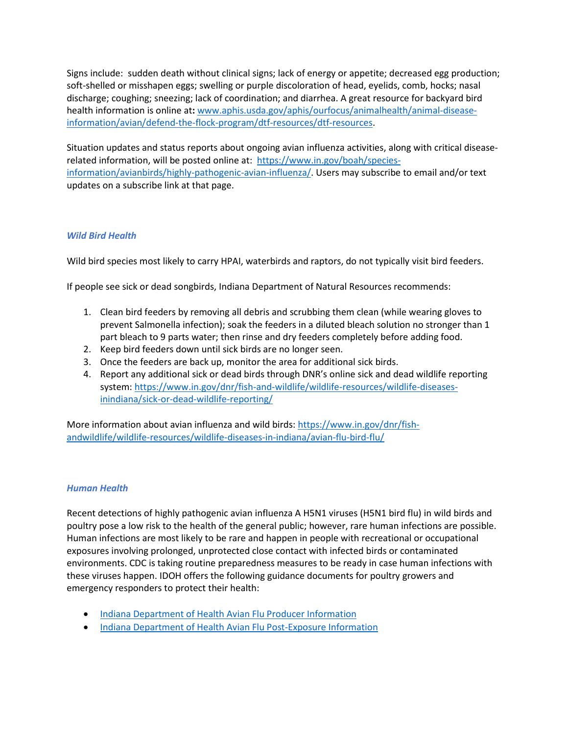Signs include: sudden death without clinical signs; lack of energy or appetite; decreased egg production; soft-shelled or misshapen eggs; swelling or purple discoloration of head, eyelids, comb, hocks; nasal discharge; coughing; sneezing; lack of coordination; and diarrhea. A great resource for backyard bird health information is online at**:** [www.aphis.usda.gov/aphis/ourfocus/animalhealth/animal-disease](http://www.aphis.usda.gov/aphis/ourfocus/animalhealth/animal-disease-information/avian/defend-the-flock-program/dtf-resources/dtf-resources)[information/avian/defend-the-flock-program/dtf-resources/dtf-resources.](http://www.aphis.usda.gov/aphis/ourfocus/animalhealth/animal-disease-information/avian/defend-the-flock-program/dtf-resources/dtf-resources)

Situation updates and status reports about ongoing avian influenza activities, along with critical diseaserelated information, will be posted online at: [https://www.in.gov/boah/species](https://www.in.gov/boah/species-information/avianbirds/highly-pathogenic-avian-influenza/)[information/avianbirds/highly-pathogenic-avian-influenza/.](https://www.in.gov/boah/species-information/avianbirds/highly-pathogenic-avian-influenza/) Users may subscribe to email and/or text updates on a subscribe link at that page.

#### *Wild Bird Health*

Wild bird species most likely to carry HPAI, waterbirds and raptors, do not typically visit bird feeders.

If people see sick or dead songbirds, Indiana Department of Natural Resources recommends:

- 1. Clean bird feeders by removing all debris and scrubbing them clean (while wearing gloves to prevent Salmonella infection); soak the feeders in a diluted bleach solution no stronger than 1 part bleach to 9 parts water; then rinse and dry feeders completely before adding food.
- 2. Keep bird feeders down until sick birds are no longer seen.
- 3. Once the feeders are back up, monitor the area for additional sick birds.
- 4. Report any additional sick or dead birds through DNR's online sick and dead wildlife reporting system: [https://www.in.gov/dnr/fish-and-wildlife/wildlife-resources/wildlife-diseases](https://www.in.gov/dnr/fish-and-wildlife/wildlife-resources/wildlife-diseases-inindiana/sick-or-dead-wildlife-reporting/)[inindiana/sick-or-dead-wildlife-reporting/](https://www.in.gov/dnr/fish-and-wildlife/wildlife-resources/wildlife-diseases-inindiana/sick-or-dead-wildlife-reporting/)

More information about avian influenza and wild birds: [https://www.in.gov/dnr/fish](https://www.in.gov/dnr/fish-andwildlife/wildlife-resources/wildlife-diseases-in-indiana/avian-flu-bird-flu/)[andwildlife/wildlife-resources/wildlife-diseases-in-indiana/avian-flu-bird-flu/](https://www.in.gov/dnr/fish-andwildlife/wildlife-resources/wildlife-diseases-in-indiana/avian-flu-bird-flu/) 

#### *Human Health*

Recent detections of highly pathogenic avian influenza A H5N1 viruses (H5N1 bird flu) in wild birds and poultry pose a low risk to the health of the general public; however, rare human infections are possible. Human infections are most likely to be rare and happen in people with recreational or occupational exposures involving prolonged, unprotected close contact with infected birds or contaminated environments. CDC is taking routine preparedness measures to be ready in case human infections with these viruses happen. IDOH offers the following guidance documents for poultry growers and emergency responders to protect their health:

- [Indiana Department of Health Avian Flu Producer Information](https://www.in.gov/boah/files/2022-02-18_HPAI_Producer-packet.pdf)
- [Indiana Department of Health Avian Flu Post-Exposure Information](https://www.in.gov/boah/files/2022-02-18_HPAI_Producer-packet.pdf)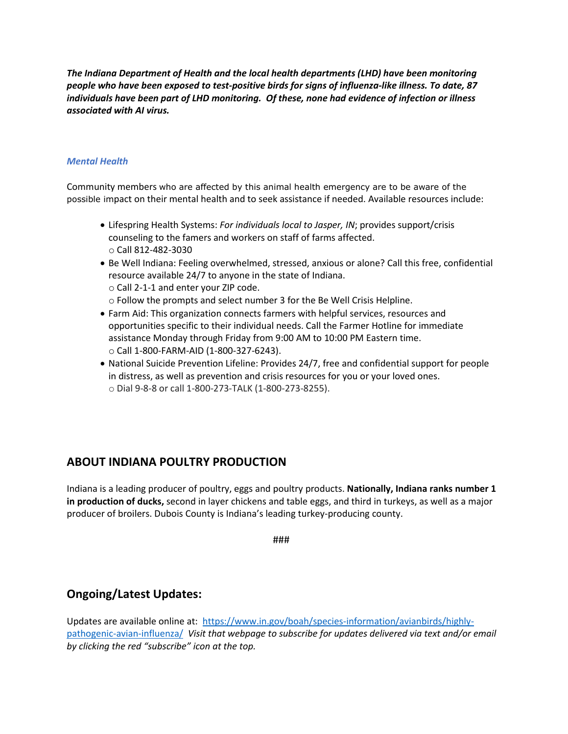*The Indiana Department of Health and the local health departments (LHD) have been monitoring people who have been exposed to test-positive birds for signs of influenza-like illness. To date, 87 individuals have been part of LHD monitoring. Of these, none had evidence of infection or illness associated with AI virus.*

#### *Mental Health*

Community members who are affected by this animal health emergency are to be aware of the possible impact on their mental health and to seek assistance if needed. Available resources include:

- Lifespring Health Systems: *For individuals local to Jasper, IN*; provides support/crisis counseling to the famers and workers on staff of farms affected. o Call 812-482-3030
- Be Well Indiana: Feeling overwhelmed, stressed, anxious or alone? Call this free, confidential resource available 24/7 to anyone in the state of Indiana.
	- o Call 2-1-1 and enter your ZIP code.
	- o Follow the prompts and select number 3 for the Be Well Crisis Helpline.
- Farm Aid: This organization connects farmers with helpful services, resources and opportunities specific to their individual needs. Call the Farmer Hotline for immediate assistance Monday through Friday from 9:00 AM to 10:00 PM Eastern time. o Call 1-800-FARM-AID (1-800-327-6243).
- National Suicide Prevention Lifeline: Provides 24/7, free and confidential support for people in distress, as well as prevention and crisis resources for you or your loved ones. o Dial 9-8-8 or call 1-800-273-TALK (1-800-273-8255).

## **ABOUT INDIANA POULTRY PRODUCTION**

Indiana is a leading producer of poultry, eggs and poultry products. **Nationally, Indiana ranks number 1 in production of ducks,** second in layer chickens and table eggs, and third in turkeys, as well as a major producer of broilers. Dubois County is Indiana's leading turkey-producing county.

###

## **Ongoing/Latest Updates:**

Updates are available online at: [https://www.in.gov/boah/species-information/avianbirds/highly](https://www.in.gov/boah/species-information/avianbirds/highly-pathogenic-avian-influenza/)[pathogenic-avian-influenza/](https://www.in.gov/boah/species-information/avianbirds/highly-pathogenic-avian-influenza/) *Visit that webpage to subscribe for updates delivered via text and/or email by clicking the red "subscribe" icon at the top.*